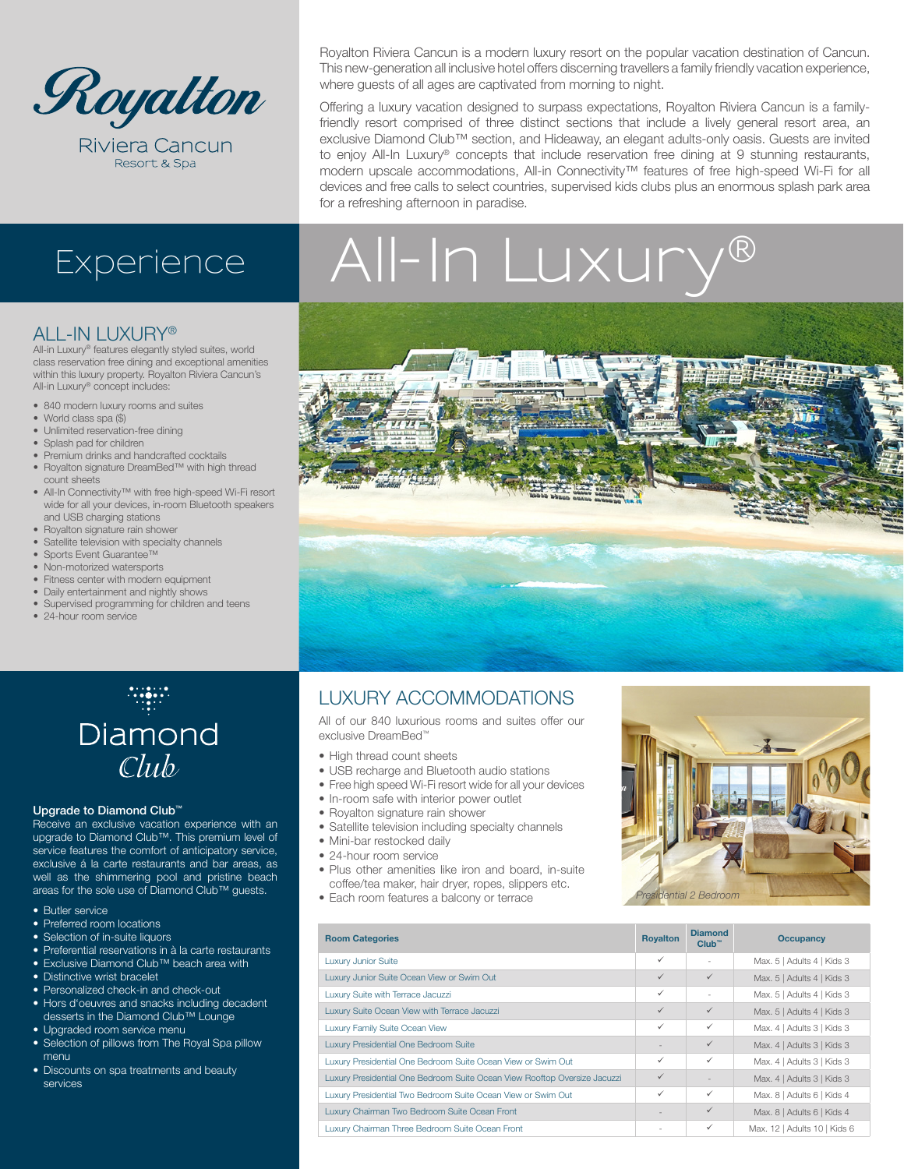

Riviera Cancun Resort & Spa

Royalton Riviera Cancun is a modern luxury resort on the popular vacation destination of Cancun. This new-generation all inclusive hotel offers discerning travellers a family friendly vacation experience, where guests of all ages are captivated from morning to night.

Offering a luxury vacation designed to surpass expectations, Royalton Riviera Cancun is a familyfriendly resort comprised of three distinct sections that include a lively general resort area, an exclusive Diamond Club™ section, and Hideaway, an elegant adults-only oasis. Guests are invited to enjoy All-In Luxury® concepts that include reservation free dining at 9 stunning restaurants, modern upscale accommodations, All-in Connectivity™ features of free high-speed Wi-Fi for all devices and free calls to select countries, supervised kids clubs plus an enormous splash park area for a refreshing afternoon in paradise.

# Experience | All-In Luxury

## ALL-IN LUXURY®

All-in Luxury® features elegantly styled suites, world class reservation free dining and exceptional amenities within this luxury property. Royalton Riviera Cancun's All-in Luxury® concept includes:

- 840 modern luxury rooms and suites
- World class spa (\$)
- Unlimited reservation-free dining
- Splash pad for children
- Premium drinks and handcrafted cocktails
- Royalton signature DreamBed™ with high thread count sheets
- All-In Connectivity™ with free high-speed Wi-Fi resort wide for all your devices, in-room Bluetooth speakers and USB charging stations
- Royalton signature rain shower
- Satellite television with specialty channels
- Sports Event Guarantee™
- Non-motorized watersports
- Fitness center with modern equipment
- Daily entertainment and nightly shows
- Supervised programming for children and teens • 24-hour room service



## LUXURY ACCOMMODATIONS

All of our 840 luxurious rooms and suites offer our exclusive DreamBed™

- High thread count sheets
- USB recharge and Bluetooth audio stations
- Free high speed Wi-Fi resort wide for all your devices
- In-room safe with interior power outlet
- Royalton signature rain shower
- Satellite television including specialty channels
- Mini-bar restocked daily
- 24-hour room service
- Plus other amenities like iron and board, in-suite coffee/tea maker, hair dryer, ropes, slippers etc.
	- Each room features a balcony or terrace



| <b>Room Categories</b>                                                    | <b>Royalton</b> | <b>Diamond</b><br>Club <sup>m</sup> | <b>Occupancy</b>             |
|---------------------------------------------------------------------------|-----------------|-------------------------------------|------------------------------|
| <b>Luxury Junior Suite</b>                                                | $\checkmark$    | ٠                                   | Max. 5   Adults 4   Kids 3   |
| Luxury Junior Suite Ocean View or Swim Out                                | $\checkmark$    | $\checkmark$                        | Max. 5   Adults 4   Kids 3   |
| Luxury Suite with Terrace Jacuzzi                                         | $\checkmark$    | ٠                                   | Max. 5   Adults 4   Kids 3   |
| Luxury Suite Ocean View with Terrace Jacuzzi                              | $\checkmark$    | $\checkmark$                        | Max. 5   Adults 4   Kids 3   |
| Luxury Family Suite Ocean View                                            | $\checkmark$    | $\checkmark$                        | Max. 4   Adults 3   Kids 3   |
| Luxury Presidential One Bedroom Suite                                     |                 | $\checkmark$                        | Max. 4   Adults 3   Kids 3   |
| Luxury Presidential One Bedroom Suite Ocean View or Swim Out              | $\checkmark$    | ✓                                   | Max. 4   Adults 3   Kids 3   |
| Luxury Presidential One Bedroom Suite Ocean View Rooftop Oversize Jacuzzi | $\checkmark$    |                                     | Max. 4   Adults 3   Kids 3   |
| Luxury Presidential Two Bedroom Suite Ocean View or Swim Out              | $\checkmark$    | ✓                                   | Max. 8   Adults 6   Kids 4   |
| Luxury Chairman Two Bedroom Suite Ocean Front                             |                 | $\checkmark$                        | Max. 8   Adults 6   Kids 4   |
| Luxury Chairman Three Bedroom Suite Ocean Front                           |                 | $\checkmark$                        | Max. 12   Adults 10   Kids 6 |



### Upgrade to Diamond Club™

Receive an exclusive vacation experience with an upgrade to Diamond Club™. This premium level of service features the comfort of anticipatory service, exclusive á la carte restaurants and bar areas, as well as the shimmering pool and pristine beach areas for the sole use of Diamond Club™ guests.

- **Butler service**
- Preferred room locations
- Selection of in-suite liquors
- Preferential reservations in à la carte restaurants • Exclusive Diamond Club™ beach area with
- Distinctive wrist bracelet
- Personalized check-in and check-out
- Hors d'oeuvres and snacks including decadent desserts in the Diamond Club™ Lounge
- Upgraded room service menu
- Selection of pillows from The Royal Spa pillow menu
- Discounts on spa treatments and beauty services